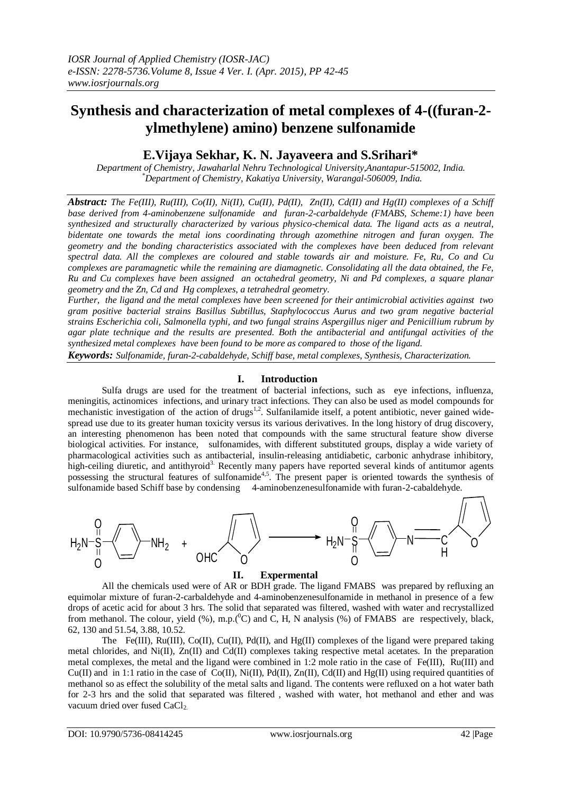# **Synthesis and characterization of metal complexes of 4-((furan-2 ylmethylene) amino) benzene sulfonamide**

# **E.Vijaya Sekhar, K. N. Jayaveera and S.Srihari\***

*Department of Chemistry, Jawaharlal Nehru Technological University,Anantapur-515002, India. \*Department of Chemistry, Kakatiya University, Warangal-506009, India.*

*Abstract: The Fe(III), Ru(III), Co(II), Ni(II), Cu(II), Pd(II), Zn(II), Cd(II) and Hg(II) complexes of a Schiff base derived from 4-aminobenzene sulfonamide and furan-2-carbaldehyde (FMABS, Scheme:1) have been synthesized and structurally characterized by various physico-chemical data. The ligand acts as a neutral, bidentate one towards the metal ions coordinating through azomethine nitrogen and furan oxygen. The geometry and the bonding characteristics associated with the complexes have been deduced from relevant spectral data. All the complexes are coloured and stable towards air and moisture. Fe, Ru, Co and Cu complexes are paramagnetic while the remaining are diamagnetic. Consolidating all the data obtained, the Fe, Ru and Cu complexes have been assigned an octahedral geometry, Ni and Pd complexes, a square planar geometry and the Zn, Cd and Hg complexes, a tetrahedral geometry.*

*Further, the ligand and the metal complexes have been screened for their antimicrobial activities against two gram positive bacterial strains Basillus Subtillus, Staphylococcus Aurus and two gram negative bacterial strains Escherichia coli, Salmonella typhi, and two fungal strains Aspergillus niger and Penicillium rubrum by agar plate technique and the results are presented. Both the antibacterial and antifungal activities of the synthesized metal complexes have been found to be more as compared to those of the ligand.*

*Keywords: Sulfonamide, furan-2-cabaldehyde, Schiff base, metal complexes, Synthesis, Characterization.*

#### **I. Introduction**

Sulfa drugs are used for the treatment of bacterial infections, such as eye infections, influenza, meningitis, actinomices infections, and urinary tract infections. They can also be used as model compounds for mechanistic investigation of the action of drugs<sup>1,2</sup>. Sulfanilamide itself, a potent antibiotic, never gained widespread use due to its greater human toxicity versus its various derivatives. In the long history of drug discovery, an interesting phenomenon has been noted that compounds with the same structural feature show diverse biological activities. For instance, sulfonamides, with different substituted groups, display a wide variety of pharmacological activities such as antibacterial, insulin-releasing antidiabetic, carbonic anhydrase inhibitory, high-ceiling diuretic, and antithyroid<sup>3.</sup> Recently many papers have reported several kinds of antitumor agents possessing the structural features of sulfonamide<sup>4,5</sup>. The present paper is oriented towards the synthesis of sulfonamide based Schiff base by condensing 4-aminobenzenesulfonamide with furan-2-cabaldehyde.



**II. Expermental**

All the chemicals used were of AR or BDH grade. The ligand FMABS was prepared by refluxing an equimolar mixture of furan-2-carbaldehyde and 4-aminobenzenesulfonamide in methanol in presence of a few drops of acetic acid for about 3 hrs. The solid that separated was filtered, washed with water and recrystallized from methanol. The colour, yield  $(\%)$ , m.p.( $^{\circ}$ C) and C, H, N analysis (%) of FMABS are respectively, black, 62, 130 and 51.54, 3.88, 10.52.

The Fe(III),  $Ru(III)$ ,  $Co(II)$ ,  $Cu(II)$ ,  $Pd(II)$ , and  $Hg(II)$  complexes of the ligand were prepared taking metal chlorides, and Ni(II), Zn(II) and Cd(II) complexes taking respective metal acetates. In the preparation metal complexes, the metal and the ligand were combined in 1:2 mole ratio in the case of Fe(III), Ru(III) and  $Cu(II)$  and in 1:1 ratio in the case of  $Co(II)$ ,  $Ni(II)$ ,  $Pd(II)$ ,  $Zn(II)$ ,  $Cd(II)$  and  $Hg(II)$  using required quantities of methanol so as effect the solubility of the metal salts and ligand. The contents were refluxed on a hot water bath for 2-3 hrs and the solid that separated was filtered , washed with water, hot methanol and ether and was vacuum dried over fused CaCl<sub>2</sub>.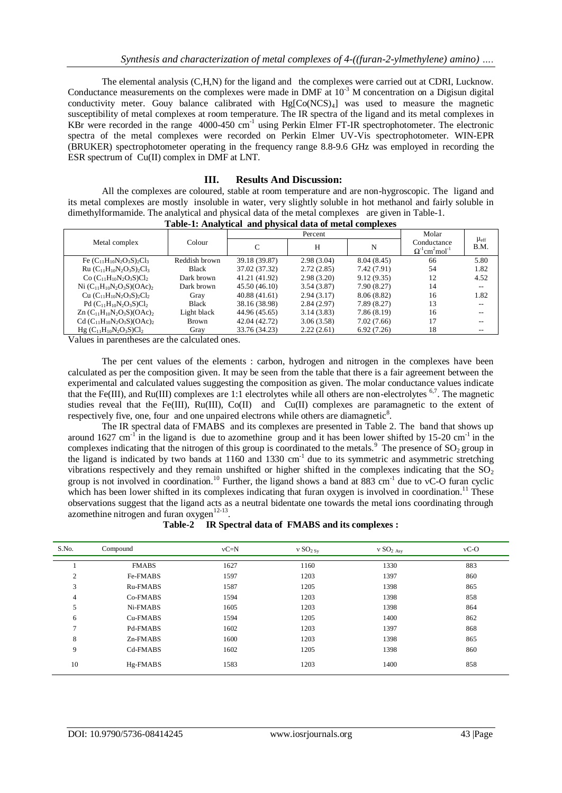The elemental analysis (C,H,N) for the ligand and the complexes were carried out at CDRI, Lucknow. Conductance measurements on the complexes were made in DMF at  $10^{-3}$  M concentration on a Digisun digital conductivity meter. Gouy balance calibrated with  $Hg[Co(NCS)<sub>4</sub>]$  was used to measure the magnetic susceptibility of metal complexes at room temperature. The IR spectra of the ligand and its metal complexes in KBr were recorded in the range 4000-450 cm<sup>-1</sup> using Perkin Elmer FT-IR spectrophotometer. The electronic spectra of the metal complexes were recorded on Perkin Elmer UV-Vis spectrophotometer. WIN-EPR (BRUKER) spectrophotometer operating in the frequency range 8.8-9.6 GHz was employed in recording the ESR spectrum of Cu(II) complex in DMF at LNT.

#### **III. Results And Discussion:**

All the complexes are coloured, stable at room temperature and are non-hygroscopic. The ligand and its metal complexes are mostly insoluble in water, very slightly soluble in hot methanol and fairly soluble in dimethylformamide. The analytical and physical data of the metal complexes are given in Table-1. **Table-1: Analytical and physical data of metal complexes**

|                                   | Colour        | Percent       |            |             | Molar                                                          |                          |
|-----------------------------------|---------------|---------------|------------|-------------|----------------------------------------------------------------|--------------------------|
| Metal complex                     |               | C             | H          | N           | Conductance<br>$\Omega^{-1}$ cm <sup>2</sup> mol <sup>-1</sup> | $\mu_{\rm eff}$<br>B.M.  |
| Fe $(C_{11}H_{10}N_2O_3S_2Cl_3$   | Reddish brown | 39.18 (39.87) | 2.98(3.04) | 8.04 (8.45) | 66                                                             | 5.80                     |
| Ru $(C_{11}H_{10}N_2O_3S_2Cl_3$   | <b>Black</b>  | 37.02 (37.32) | 2.72(2.85) | 7.42 (7.91) | 54                                                             | 1.82                     |
| $Co (C_{11}H_{10}N_2O_3S)Cl_2$    | Dark brown    | 41.21 (41.92) | 2.98(3.20) | 9.12(9.35)  | 12                                                             | 4.52                     |
| Ni $(C_{11}H_{10}N_2O_3S)(OAc)_2$ | Dark brown    | 45.50 (46.10) | 3.54(3.87) | 7.90(8.27)  | 14                                                             | $\overline{\phantom{a}}$ |
| Cu $(C_{11}H_{10}N_2O_3S_2Cl_2$   | Gray          | 40.88(41.61)  | 2.94(3.17) | 8.06 (8.82) | 16                                                             | 1.82                     |
| Pd $(C_{11}H_{10}N_2O_3S)Cl_2$    | Black         | 38.16 (38.98) | 2.84(2.97) | 7.89(8.27)  | 13                                                             |                          |
| $Zn (C_{11}H_{10}N_2O_3S)(OAc)_2$ | Light black   | 44.96 (45.65) | 3.14(3.83) | 7.86(8.19)  | 16                                                             |                          |
| $Cd (C_{11}H_{10}N_2O_3S)(OAc)_2$ | <b>Brown</b>  | 42.04 (42.72) | 3.06(3.58) | 7.02(7.66)  | 17                                                             |                          |
| $Hg (C_{11}H_{10}N_2O_3S)Cl_2$    | Gray          | 33.76 (34.23) | 2.22(2.61) | 6.92(7.26)  | 18                                                             |                          |

Values in parentheses are the calculated ones.

The per cent values of the elements : carbon, hydrogen and nitrogen in the complexes have been calculated as per the composition given. It may be seen from the table that there is a fair agreement between the experimental and calculated values suggesting the composition as given. The molar conductance values indicate that the Fe(III), and Ru(III) complexes are 1:1 electrolytes while all others are non-electrolytes <sup>6,7</sup>. The magnetic studies reveal that the Fe(III), Ru(III), Co(II) and Cu(II) complexes are paramagnetic to the extent of respectively five, one, four and one unpaired electrons while others are diamagnetic $8$ .

The IR spectral data of FMABS and its complexes are presented in Table 2. The band that shows up around  $1627 \text{ cm}^{-1}$  in the ligand is due to azomethine group and it has been lower shifted by 15-20 cm<sup>-1</sup> in the complexes indicating that the nitrogen of this group is coordinated to the metals.<sup>9</sup> The presence of  $SO_2$  group in the ligand is indicated by two bands at  $1160$  and  $1330$  cm<sup>-1</sup> due to its symmetric and asymmetric stretching vibrations respectively and they remain unshifted or higher shifted in the complexes indicating that the  $SO<sub>2</sub>$ group is not involved in coordination.<sup>10</sup> Further, the ligand shows a band at 883 cm<sup>-1</sup> due to  $vC$ -O furan cyclic which has been lower shifted in its complexes indicating that furan oxygen is involved in coordination.<sup>11</sup> These observations suggest that the ligand acts as a neutral bidentate one towards the metal ions coordinating through azomethine nitrogen and furan  $oxygen<sup>12-13</sup>$ .

**Table-2 IR Spectral data of FMABS and its complexes :**

| S.No.          | Compound     | $vC=N$ | $v$ SO <sub>2</sub> s <sub>v</sub> | $v$ SO <sub>2</sub> Asv | $vC-O$ |
|----------------|--------------|--------|------------------------------------|-------------------------|--------|
|                | <b>FMABS</b> | 1627   | 1160                               | 1330                    | 883    |
| $\overline{2}$ | Fe-FMABS     | 1597   | 1203                               | 1397                    | 860    |
| 3              | Ru-FMABS     | 1587   | 1205                               | 1398                    | 865    |
| $\overline{4}$ | Co-FMABS     | 1594   | 1203                               | 1398                    | 858    |
| 5              | Ni-FMABS     | 1605   | 1203                               | 1398                    | 864    |
| 6              | Cu-FMABS     | 1594   | 1205                               | 1400                    | 862    |
| $\mathcal{L}$  | Pd-FMABS     | 1602   | 1203                               | 1397                    | 868    |
| 8              | Zn-FMABS     | 1600   | 1203                               | 1398                    | 865    |
| 9              | Cd-FMABS     | 1602   | 1205                               | 1398                    | 860    |
| 10             | Hg-FMABS     | 1583   | 1203                               | 1400                    | 858    |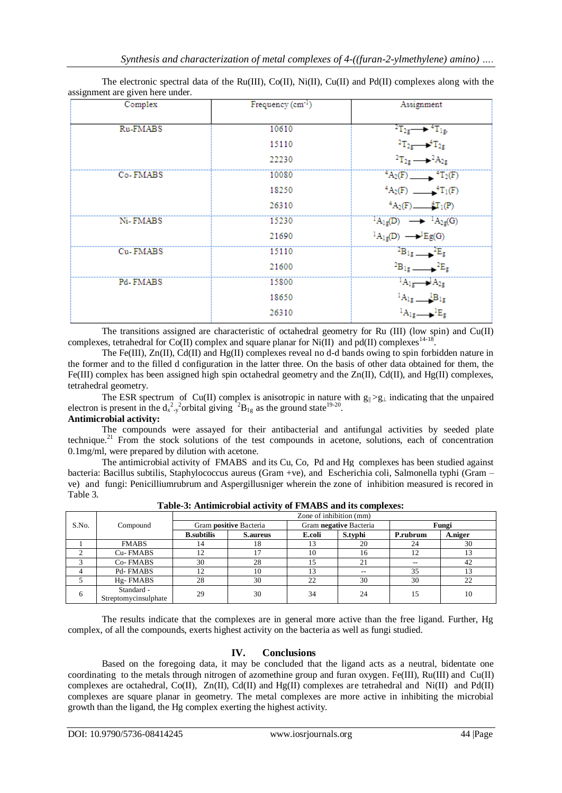| Complex  | Frequency $(cm-1)$ | Assignment                                                   |
|----------|--------------------|--------------------------------------------------------------|
| Ru-FMABS | 10610              | $\rightarrow$ <sup>4</sup> T <sub>1</sub> g<br>$^{2}T_{2}$ = |
|          | 15110              | $T_{2g} \rightarrow T_{2g}$                                  |
|          | 22230              | ${}^{2}T_{2\epsilon} \longrightarrow {}^{2}A_{2\epsilon}$    |
| Co-FMABS | 10080              | ${}^{4}A_2(F)$ ${}^{4}T_2(F)$                                |
|          | 18250              | ${}^{4}A_2(F)$ $\longrightarrow {}^{4}T_1(F)$                |
|          | 26310              | $A_2(F)$ $\uparrow T_1(P)$                                   |
| Ni-FMABS | 15230              | ${}^{1}A_{1g}(D) \longrightarrow {}^{1}A_{2g}(G)$            |
|          | 21690              | ${}^1A_{1g}(D) \longrightarrow Eg(G)$                        |
| Cu-FMABS | 15110              | ${}^{2}B_{1g}$ ${}^{2}E_{g}$                                 |
|          | 21600              | ${}^{2}B_{1g} \longrightarrow {}^{2}E_{g}$                   |
| Pd-FMABS | 15800              | $A_{1g} \rightarrow A_{2g}$                                  |
|          | 18650              | ${}^{1}A_{1g}$ ${}^{1}B_{1g}$                                |
|          | 26310              | ${}^{1}A_{1g} \longrightarrow {}^{1}E_{g}$                   |

The electronic spectral data of the Ru(III),  $Co(II)$ , Ni(II), Cu(II) and Pd(II) complexes along with the assignment are given here under.

The transitions assigned are characteristic of octahedral geometry for Ru (III) (low spin) and Cu(II) complexes, tetrahedral for Co(II) complex and square planar for Ni(II) and pd(II) complexes<sup>14-18</sup> .

The Fe(III),  $Zn(II)$ ,  $Cd(II)$  and  $Hg(II)$  complexes reveal no d-d bands owing to spin forbidden nature in the former and to the filled d configuration in the latter three. On the basis of other data obtained for them, the Fe(III) complex has been assigned high spin octahedral geometry and the  $Zn(II)$ , Cd(II), and Hg(II) complexes, tetrahedral geometry.

The ESR spectrum of Cu(II) complex is anisotropic in nature with  $g_{\parallel} > g_{\perp}$  indicating that the unpaired electron is present in the  $d_{x-y}^2$  orbital giving  ${}^{2}B_{1g}$  as the ground state <sup>19-20</sup>.

## **Antimicrobial activity:**

The compounds were assayed for their antibacterial and antifungal activities by seeded plate technique.<sup>21</sup> From the stock solutions of the test compounds in acetone, solutions, each of concentration 0.1mg/ml, were prepared by dilution with acetone.

The antimicrobial activity of FMABS and its Cu, Co, Pd and Hg complexes has been studied against bacteria: Bacillus subtilis, Staphylococcus aureus (Gram +ve), and Escherichia coli, Salmonella typhi (Gram – ve) and fungi: Penicilliumrubrum and Aspergillusniger wherein the zone of inhibition measured is recored in Table 3.

|       | Compound                           | Zone of inhibition (mm) |                 |                        |         |                          |         |
|-------|------------------------------------|-------------------------|-----------------|------------------------|---------|--------------------------|---------|
| S.No. |                                    | Gram positive Bacteria  |                 | Gram negative Bacteria |         | Fungi                    |         |
|       |                                    | <b>B.subtilis</b>       | <b>S.aureus</b> | E.coli                 | S.typhi | <b>P.rubrum</b>          | A.niger |
|       | <b>FMABS</b>                       | 14                      | 18              |                        | 20      | 24                       | 30      |
|       | Cu-FMABS                           | 12                      |                 | 10                     | 16      | 12                       | 13      |
|       | Co-FMABS                           | 30                      | 28              |                        | 21      | $\overline{\phantom{a}}$ | 42      |
|       | Pd-FMABS                           | 12                      | 10              |                        |         | 35                       |         |
|       | Hg-FMABS                           | 28                      | 30              | 22                     | 30      | 30                       | 22      |
| 6     | Standard -<br>Streptomycinsulphate | 29                      | 30              | 34                     | 24      |                          | 10      |

**Table-3: Antimicrobial activity of FMABS and its complexes:**

The results indicate that the complexes are in general more active than the free ligand. Further, Hg complex, of all the compounds, exerts highest activity on the bacteria as well as fungi studied.

## **IV. Conclusions**

Based on the foregoing data, it may be concluded that the ligand acts as a neutral, bidentate one coordinating to the metals through nitrogen of azomethine group and furan oxygen. Fe(III), Ru(III) and Cu(II) complexes are octahedral,  $Co(II)$ ,  $Zn(II)$ ,  $Cd(II)$  and  $Hg(II)$  complexes are tetrahedral and Ni(II) and Pd(II) complexes are square planar in geometry. The metal complexes are more active in inhibiting the microbial growth than the ligand, the Hg complex exerting the highest activity.